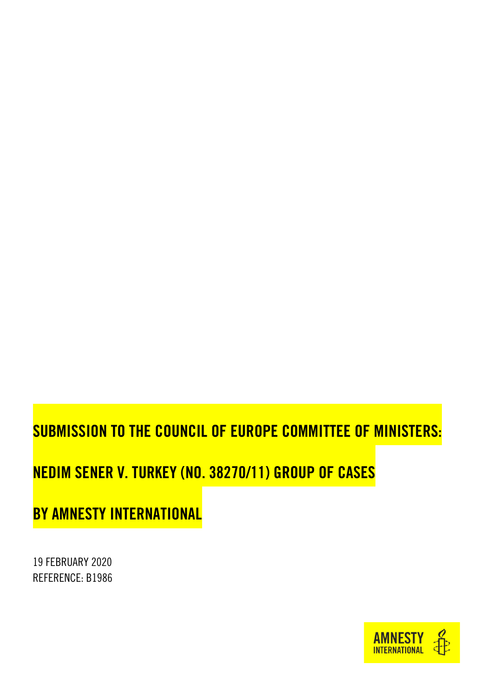# SUBMISSION TO THE COUNCIL OF EUROPE COMMITTEE OF MINISTERS:

## NEDIM SENER V. TURKEY (NO. 38270/11) GROUP OF CASES

BY AMNESTY INTERNATIONAL

19 FEBRUARY 2020 REFERENCE: B1986

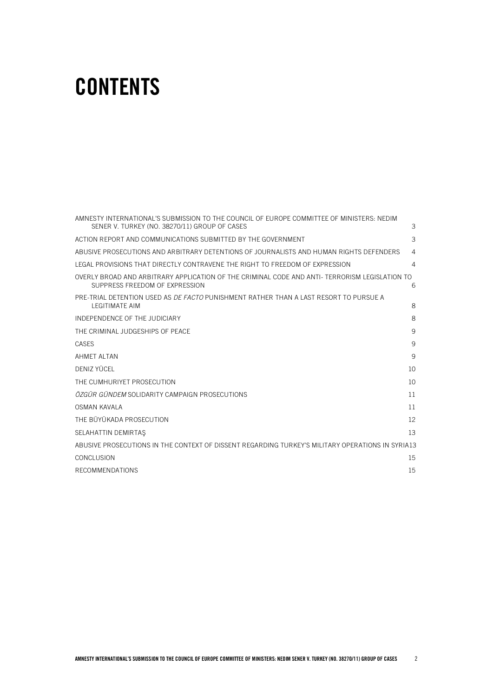# **CONTENTS**

| AMNESTY INTERNATIONAL'S SUBMISSION TO THE COUNCIL OF EUROPE COMMITTEE OF MINISTERS: NEDIM                                        |                |
|----------------------------------------------------------------------------------------------------------------------------------|----------------|
| SENER V. TURKEY (NO. 38270/11) GROUP OF CASES                                                                                    | 3              |
| ACTION REPORT AND COMMUNICATIONS SUBMITTED BY THE GOVERNMENT                                                                     | 3              |
| ABUSIVE PROSECUTIONS AND ARBITRARY DETENTIONS OF JOURNALISTS AND HUMAN RIGHTS DEFENDERS                                          | $\overline{4}$ |
| LEGAL PROVISIONS THAT DIRECTLY CONTRAVENE THE RIGHT TO FREEDOM OF EXPRESSION                                                     | $\overline{4}$ |
| OVERLY BROAD AND ARBITRARY APPLICATION OF THE CRIMINAL CODE AND ANTI- TERRORISM LEGISLATION TO<br>SUPPRESS FREEDOM OF EXPRESSION | 6              |
| PRE-TRIAL DETENTION USED AS <i>DE FACTO</i> PUNISHMENT RATHER THAN A LAST RESORT TO PURSUE A<br><b>LEGITIMATE AIM</b>            | 8              |
| INDEPENDENCE OF THE JUDICIARY                                                                                                    | 8              |
| THE CRIMINAL JUDGESHIPS OF PEACE                                                                                                 | 9              |
| CASES                                                                                                                            | 9              |
| <b>AHMET ALTAN</b>                                                                                                               | 9              |
| DENIZ YÜCEL                                                                                                                      | 10             |
| THE CUMHURIYET PROSECUTION                                                                                                       | 10             |
| <i>ÖZGÜR GÜNDEM</i> SOLIDARITY CAMPAIGN PROSECUTIONS                                                                             | 11             |
| OSMAN KAVALA                                                                                                                     | 11             |
| THE BÜYÜKADA PROSECUTION                                                                                                         | 12             |
| SELAHATTIN DEMIRTAS                                                                                                              | 13             |
| ABUSIVE PROSECUTIONS IN THE CONTEXT OF DISSENT REGARDING TURKEY'S MILITARY OPERATIONS IN SYRIA13                                 |                |
| <b>CONCLUSION</b>                                                                                                                | 15             |
| <b>RECOMMENDATIONS</b>                                                                                                           | 15             |
|                                                                                                                                  |                |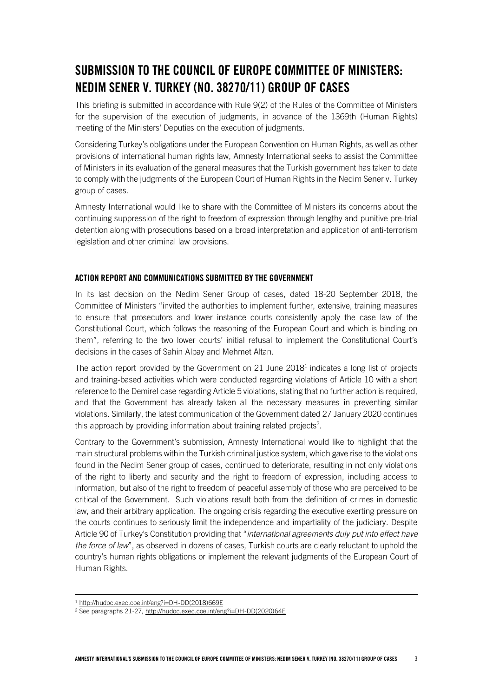## <span id="page-2-0"></span>SUBMISSION TO THE COUNCIL OF EUROPE COMMITTEE OF MINISTERS: NEDIM SENER V. TURKEY (NO. 38270/11) GROUP OF CASES

This briefing is submitted in accordance with Rule 9(2) of the Rules of the Committee of Ministers for the supervision of the execution of judgments, in advance of the 1369th (Human Rights) meeting of the Ministers' Deputies on the execution of judgments.

Considering Turkey's obligations under the European Convention on Human Rights, as well as other provisions of international human rights law, Amnesty International seeks to assist the Committee of Ministers in its evaluation of the general measures that the Turkish government has taken to date to comply with the judgments of the European Court of Human Rights in the Nedim Sener v. Turkey group of cases.

Amnesty International would like to share with the Committee of Ministers its concerns about the continuing suppression of the right to freedom of expression through lengthy and punitive pre-trial detention along with prosecutions based on a broad interpretation and application of anti-terrorism legislation and other criminal law provisions.

#### <span id="page-2-1"></span>ACTION REPORT AND COMMUNICATIONS SUBMITTED BY THE GOVERNMENT

In its last decision on the Nedim Sener Group of cases, dated 18-20 September 2018, the Committee of Ministers "invited the authorities to implement further, extensive, training measures to ensure that prosecutors and lower instance courts consistently apply the case law of the Constitutional Court, which follows the reasoning of the European Court and which is binding on them", referring to the two lower courts' initial refusal to implement the Constitutional Court's decisions in the cases of Sahin Alpay and Mehmet Altan.

The action report provided by the Government on 21 June 2018<sup>1</sup> indicates a long list of projects and training-based activities which were conducted regarding violations of Article 10 with a short reference to the Demirel case regarding Article 5 violations, stating that no further action is required, and that the Government has already taken all the necessary measures in preventing similar violations. Similarly, the latest communication of the Government dated 27 January 2020 continues this approach by providing information about training related projects<sup>2</sup>.

Contrary to the Government's submission, Amnesty International would like to highlight that the main structural problems within the Turkish criminal justice system, which gave rise to the violations found in the Nedim Sener group of cases, continued to deteriorate, resulting in not only violations of the right to liberty and security and the right to freedom of expression, including access to information, but also of the right to freedom of peaceful assembly of those who are perceived to be critical of the Government. Such violations result both from the definition of crimes in domestic law, and their arbitrary application. The ongoing crisis regarding the executive exerting pressure on the courts continues to seriously limit the independence and impartiality of the judiciary. Despite Article 90 of Turkey's Constitution providing that "*international agreements duly put into effect have the force of law*", as observed in dozens of cases, Turkish courts are clearly reluctant to uphold the country's human rights obligations or implement the relevant judgments of the European Court of Human Rights.

ł

<sup>1</sup> [http://hudoc.exec.coe.int/eng?i=DH-DD\(2018\)669E](http://hudoc.exec.coe.int/eng?i=DH-DD(2018)669E)

<sup>2</sup> See paragraphs 21-27[, http://hudoc.exec.coe.int/eng?i=DH-DD\(2020\)64E](http://hudoc.exec.coe.int/eng?i=DH-DD(2020)64E)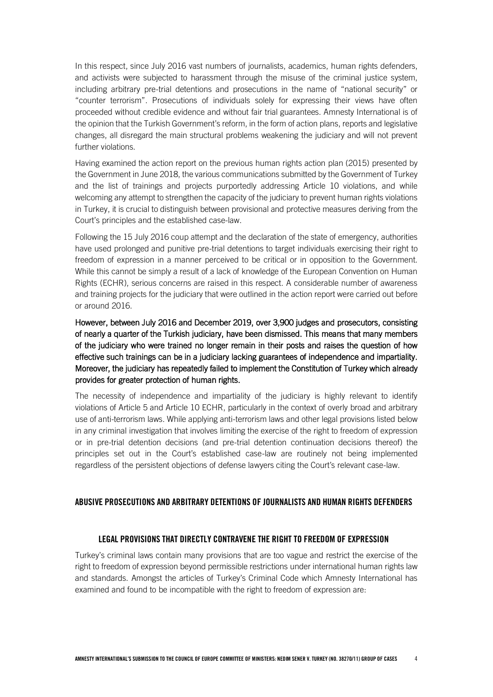In this respect, since July 2016 vast numbers of journalists, academics, human rights defenders, and activists were subjected to harassment through the misuse of the criminal justice system, including arbitrary pre-trial detentions and prosecutions in the name of "national security" or "counter terrorism". Prosecutions of individuals solely for expressing their views have often proceeded without credible evidence and without fair trial guarantees. Amnesty International is of the opinion that the Turkish Government's reform, in the form of action plans, reports and legislative changes, all disregard the main structural problems weakening the judiciary and will not prevent further violations.

Having examined the action report on the previous human rights action plan (2015) presented by the Government in June 2018, the various communications submitted by the Government of Turkey and the list of trainings and projects purportedly addressing Article 10 violations, and while welcoming any attempt to strengthen the capacity of the judiciary to prevent human rights violations in Turkey, it is crucial to distinguish between provisional and protective measures deriving from the Court's principles and the established case-law.

Following the 15 July 2016 coup attempt and the declaration of the state of emergency, authorities have used prolonged and punitive pre-trial detentions to target individuals exercising their right to freedom of expression in a manner perceived to be critical or in opposition to the Government. While this cannot be simply a result of a lack of knowledge of the European Convention on Human Rights (ECHR), serious concerns are raised in this respect. A considerable number of awareness and training projects for the judiciary that were outlined in the action report were carried out before or around 2016.

However, between July 2016 and December 2019, over 3,900 judges and prosecutors, consisting of nearly a quarter of the Turkish judiciary, have been dismissed. This means that many members of the judiciary who were trained no longer remain in their posts and raises the question of how effective such trainings can be in a judiciary lacking guarantees of independence and impartiality. Moreover, the judiciary has repeatedly failed to implement the Constitution of Turkey which already provides for greater protection of human rights.

The necessity of independence and impartiality of the judiciary is highly relevant to identify violations of Article 5 and Article 10 ECHR, particularly in the context of overly broad and arbitrary use of anti-terrorism laws. While applying anti-terrorism laws and other legal provisions listed below in any criminal investigation that involves limiting the exercise of the right to freedom of expression or in pre-trial detention decisions (and pre-trial detention continuation decisions thereof) the principles set out in the Court's established case-law are routinely not being implemented regardless of the persistent objections of defense lawyers citing the Court's relevant case-law.

#### <span id="page-3-1"></span><span id="page-3-0"></span>ABUSIVE PROSECUTIONS AND ARBITRARY DETENTIONS OF JOURNALISTS AND HUMAN RIGHTS DEFENDERS

#### LEGAL PROVISIONS THAT DIRECTLY CONTRAVENE THE RIGHT TO FREEDOM OF EXPRESSION

Turkey's criminal laws contain many provisions that are too vague and restrict the exercise of the right to freedom of expression beyond permissible restrictions under international human rights law and standards. Amongst the articles of Turkey's Criminal Code which Amnesty International has examined and found to be incompatible with the right to freedom of expression are: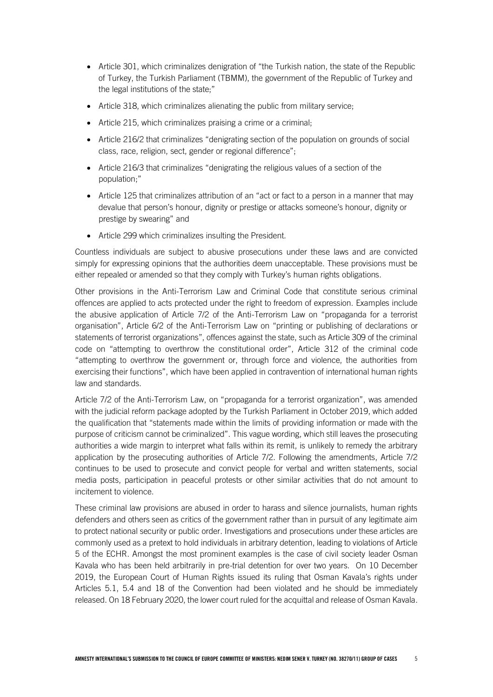- Article 301, which criminalizes denigration of "the Turkish nation, the state of the Republic of Turkey, the Turkish Parliament (TBMM), the government of the Republic of Turkey and the legal institutions of the state;"
- Article 318, which criminalizes alienating the public from military service;
- Article 215, which criminalizes praising a crime or a criminal;
- Article 216/2 that criminalizes "denigrating section of the population on grounds of social class, race, religion, sect, gender or regional difference";
- Article 216/3 that criminalizes "denigrating the religious values of a section of the population;"
- Article 125 that criminalizes attribution of an "act or fact to a person in a manner that may devalue that person's honour, dignity or prestige or attacks someone's honour, dignity or prestige by swearing" and
- Article 299 which criminalizes insulting the President.

Countless individuals are subject to abusive prosecutions under these laws and are convicted simply for expressing opinions that the authorities deem unacceptable. These provisions must be either repealed or amended so that they comply with Turkey's human rights obligations.

Other provisions in the Anti-Terrorism Law and Criminal Code that constitute serious criminal offences are applied to acts protected under the right to freedom of expression. Examples include the abusive application of Article 7/2 of the Anti-Terrorism Law on "propaganda for a terrorist organisation", Article 6/2 of the Anti-Terrorism Law on "printing or publishing of declarations or statements of terrorist organizations", offences against the state, such as Article 309 of the criminal code on "attempting to overthrow the constitutional order", Article 312 of the criminal code "attempting to overthrow the government or, through force and violence, the authorities from exercising their functions", which have been applied in contravention of international human rights law and standards.

Article 7/2 of the Anti-Terrorism Law, on "propaganda for a terrorist organization", was amended with the judicial reform package adopted by the Turkish Parliament in October 2019, which added the qualification that "statements made within the limits of providing information or made with the purpose of criticism cannot be criminalized". This vague wording, which still leaves the prosecuting authorities a wide margin to interpret what falls within its remit, is unlikely to remedy the arbitrary application by the prosecuting authorities of Article 7/2. Following the amendments, Article 7/2 continues to be used to prosecute and convict people for verbal and written statements, social media posts, participation in peaceful protests or other similar activities that do not amount to incitement to violence.

These criminal law provisions are abused in order to harass and silence journalists, human rights defenders and others seen as critics of the government rather than in pursuit of any legitimate aim to protect national security or public order. Investigations and prosecutions under these articles are commonly used as a pretext to hold individuals in arbitrary detention, leading to violations of Article 5 of the ECHR. Amongst the most prominent examples is the case of civil society leader Osman Kavala who has been held arbitrarily in pre-trial detention for over two years. On 10 December 2019, the European Court of Human Rights issued its ruling that Osman Kavala's rights under Articles 5.1, 5.4 and 18 of the Convention had been violated and he should be immediately released. On 18 February 2020, the lower court ruled for the acquittal and release of Osman Kavala.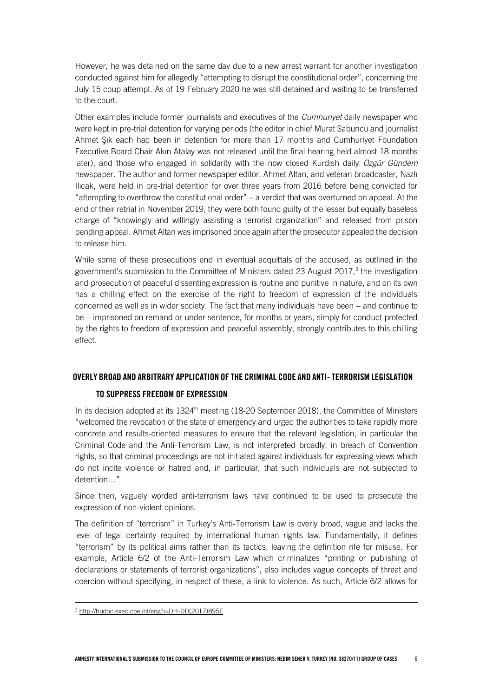However, he was detained on the same day due to a new arrest warrant for another investigation conducted against him for allegedly "attempting to disrupt the constitutional order", concerning the July 15 coup attempt. As of 19 February 2020 he was still detained and waiting to be transferred to the court.

Other examples include former journalists and executives of the *Cumhuriyet* daily newspaper who were kept in pre-trial detention for varying periods (the editor in chief Murat Sabuncu and journalist Ahmet Şık each had been in detention for more than 17 months and Cumhuriyet Foundation Executive Board Chair Akın Atalay was not released until the final hearing held almost 18 months later), and those who engaged in solidarity with the now closed Kurdish daily *Özgür Gündem*  newspaper. The author and former newspaper editor, Ahmet Altan, and veteran broadcaster, Nazlı Ilıcak, were held in pre-trial detention for over three years from 2016 before being convicted for "attempting to overthrow the constitutional order" – a verdict that was overturned on appeal. At the end of their retrial in November 2019, they were both found guilty of the lesser but equally baseless charge of "knowingly and willingly assisting a terrorist organization" and released from prison pending appeal. Ahmet Altan was imprisoned once again after the prosecutor appealed the decision to release him.

While some of these prosecutions end in eventual acquittals of the accused, as outlined in the government's submission to the Committee of Ministers dated 23 August 2017,<sup>3</sup> the investigation and prosecution of peaceful dissenting expression is routine and punitive in nature, and on its own has a chilling effect on the exercise of the right to freedom of expression of the individuals concerned as well as in wider society. The fact that many individuals have been – and continue to be – imprisoned on remand or under sentence, for months or years, simply for conduct protected by the rights to freedom of expression and peaceful assembly, strongly contributes to this chilling effect.

#### <span id="page-5-0"></span>OVERLY BROAD AND ARBITRARY APPLICATION OF THE CRIMINAL CODE AND ANTI-TERRORISM LEGISLATION

#### TO SUPPRESS FREEDOM OF EXPRESSION

In its decision adopted at its 1324<sup>th</sup> meeting (18-20 September 2018), the Committee of Ministers "welcomed the revocation of the state of emergency and urged the authorities to take rapidly more concrete and results-oriented measures to ensure that the relevant legislation, in particular the Criminal Code and the Anti-Terrorism Law, is not interpreted broadly, in breach of Convention rights, so that criminal proceedings are not initiated against individuals for expressing views which do not incite violence or hatred and, in particular, that such individuals are not subjected to detention…"

Since then, vaguely worded anti-terrorism laws have continued to be used to prosecute the expression of non-violent opinions.

The definition of "terrorism" in Turkey's Anti-Terrorism Law is overly broad, vague and lacks the level of legal certainty required by international human rights law. Fundamentally, it defines "terrorism" by its political aims rather than its tactics, leaving the definition rife for misuse. For example, Article 6/2 of the Anti-Terrorism Law which criminalizes "printing or publishing of declarations or statements of terrorist organizations", also includes vague concepts of threat and coercion without specifying, in respect of these, a link to violence. As such, Article 6/2 allows for

l,

<sup>3</sup> [http://hudoc.exec.coe.int/eng?i=DH-DD\(2017\)895E](http://hudoc.exec.coe.int/eng?i=DH-DD(2017)895E)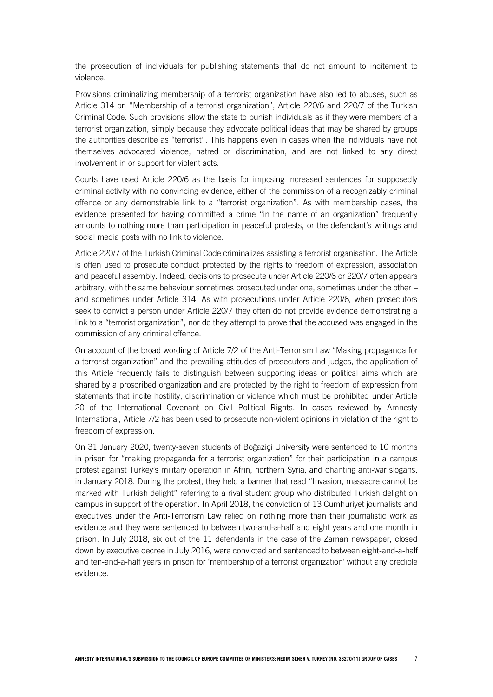the prosecution of individuals for publishing statements that do not amount to incitement to violence.

Provisions criminalizing membership of a terrorist organization have also led to abuses, such as Article 314 on "Membership of a terrorist organization", Article 220/6 and 220/7 of the Turkish Criminal Code. Such provisions allow the state to punish individuals as if they were members of a terrorist organization, simply because they advocate political ideas that may be shared by groups the authorities describe as "terrorist". This happens even in cases when the individuals have not themselves advocated violence, hatred or discrimination, and are not linked to any direct involvement in or support for violent acts.

Courts have used Article 220/6 as the basis for imposing increased sentences for supposedly criminal activity with no convincing evidence, either of the commission of a recognizably criminal offence or any demonstrable link to a "terrorist organization". As with membership cases, the evidence presented for having committed a crime "in the name of an organization" frequently amounts to nothing more than participation in peaceful protests, or the defendant's writings and social media posts with no link to violence.

Article 220/7 of the Turkish Criminal Code criminalizes assisting a terrorist organisation. The Article is often used to prosecute conduct protected by the rights to freedom of expression, association and peaceful assembly. Indeed, decisions to prosecute under Article 220/6 or 220/7 often appears arbitrary, with the same behaviour sometimes prosecuted under one, sometimes under the other – and sometimes under Article 314. As with prosecutions under Article 220/6, when prosecutors seek to convict a person under Article 220/7 they often do not provide evidence demonstrating a link to a "terrorist organization", nor do they attempt to prove that the accused was engaged in the commission of any criminal offence.

On account of the broad wording of Article 7/2 of the Anti-Terrorism Law "Making propaganda for a terrorist organization" and the prevailing attitudes of prosecutors and judges, the application of this Article frequently fails to distinguish between supporting ideas or political aims which are shared by a proscribed organization and are protected by the right to freedom of expression from statements that incite hostility, discrimination or violence which must be prohibited under Article 20 of the International Covenant on Civil Political Rights. In cases reviewed by Amnesty International, Article 7/2 has been used to prosecute non-violent opinions in violation of the right to freedom of expression.

On 31 January 2020, twenty-seven students of Boğaziçi University were sentenced to 10 months in prison for "making propaganda for a terrorist organization" for their participation in a campus protest against Turkey's military operation in Afrin, northern Syria, and chanting anti-war slogans, in January 2018. During the protest, they held a banner that read "Invasion, massacre cannot be marked with Turkish delight" referring to a rival student group who distributed Turkish delight on campus in support of the operation. In April 2018, the conviction of 13 Cumhuriyet journalists and executives under the Anti-Terrorism Law relied on nothing more than their journalistic work as evidence and they were sentenced to between two-and-a-half and eight years and one month in prison. In July 2018, six out of the 11 defendants in the case of the Zaman newspaper, closed down by executive decree in July 2016, were convicted and sentenced to between eight-and-a-half and ten-and-a-half years in prison for 'membership of a terrorist organization' without any credible evidence.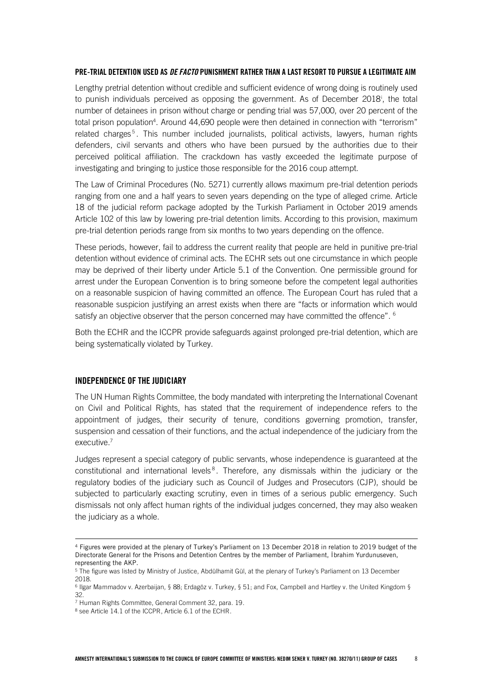#### <span id="page-7-0"></span>PRE-TRIAL DETENTION USED AS *DE FACTO* PUNISHMENT RATHER THAN A LAST RESORT TO PURSUE A LEGITIMATE AIM

Lengthy pretrial detention without credible and sufficient evidence of wrong doing is routinely used to punish individuals perceived as opposing the government. As of December 2018<sup>i</sup>, the total number of detainees in prison without charge or pending trial was 57,000, over 20 percent of the total prison population<sup>4</sup>. Around 44,690 people were then detained in connection with "terrorism" related charges<sup>5</sup>. This number included journalists, political activists, lawyers, human rights defenders, civil servants and others who have been pursued by the authorities due to their perceived political affiliation. The crackdown has vastly exceeded the legitimate purpose of investigating and bringing to justice those responsible for the 2016 coup attempt.

The Law of Criminal Procedures (No. 5271) currently allows maximum pre-trial detention periods ranging from one and a half years to seven years depending on the type of alleged crime. Article 18 of the judicial reform package adopted by the Turkish Parliament in October 2019 amends Article 102 of this law by lowering pre-trial detention limits. According to this provision, maximum pre-trial detention periods range from six months to two years depending on the offence.

These periods, however, fail to address the current reality that people are held in punitive pre-trial detention without evidence of criminal acts. The ECHR sets out one circumstance in which people may be deprived of their liberty under Article 5.1 of the Convention. One permissible ground for arrest under the European Convention is to bring someone before the competent legal authorities on a reasonable suspicion of having committed an offence. The European Court has ruled that a reasonable suspicion justifying an arrest exists when there are "facts or information which would satisfy an objective observer that the person concerned may have committed the offence". <sup>6</sup>

Both the ECHR and the ICCPR provide safeguards against prolonged pre-trial detention, which are being systematically violated by Turkey.

#### <span id="page-7-1"></span>INDEPENDENCE OF THE JUDICIARY

ł

The UN Human Rights Committee, the body mandated with interpreting the International Covenant on Civil and Political Rights, has stated that the requirement of independence refers to the appointment of judges, their security of tenure, conditions governing promotion, transfer, suspension and cessation of their functions, and the actual independence of the judiciary from the executive.<sup>7</sup>

Judges represent a special category of public servants, whose independence is guaranteed at the constitutional and international levels<sup>8</sup>. Therefore, any dismissals within the judiciary or the regulatory bodies of the judiciary such as Council of Judges and Prosecutors (CJP), should be subjected to particularly exacting scrutiny, even in times of a serious public emergency. Such dismissals not only affect human rights of the individual judges concerned, they may also weaken the judiciary as a whole.

<sup>4</sup> Figures were provided at the plenary of Turkey's Parliament on 13 December 2018 in relation to 2019 budget of the Directorate General for the Prisons and Detention Centres by the member of Parliament, İbrahim Yurdunuseven, representing the AKP.

<sup>5</sup> The figure was listed by Ministry of Justice, Abdülhamit Gül, at the plenary of Turkey's Parliament on 13 December 2018.

<sup>6</sup> Ilgar Mammadov v. Azerbaijan, § 88; Erdagöz v. Turkey, § 51; and Fox, Campbell and Hartley v. the United Kingdom § 32.

 $<sup>7</sup>$  Human Rights Committee, General Comment 32, para. 19.</sup>

<sup>8</sup> see Article 14.1 of the ICCPR, Article 6.1 of the ECHR.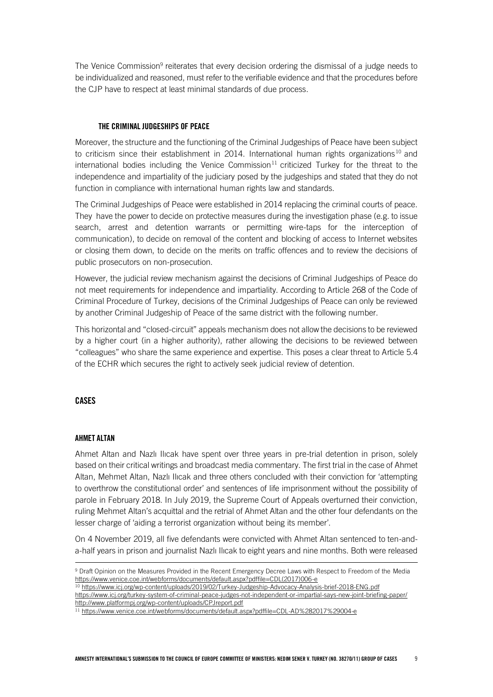The Venice Commission<sup>9</sup> reiterates that every decision ordering the dismissal of a judge needs to be individualized and reasoned, must refer to the verifiable evidence and that the procedures before the CJP have to respect at least minimal standards of due process.

#### <span id="page-8-0"></span>THE CRIMINAL JUDGESHIPS OF PEACE

Moreover, the structure and the functioning of the Criminal Judgeships of Peace have been subject to criticism since their establishment in 2014. International human rights organizations  $10$  and international bodies including the Venice Commission<sup>11</sup> criticized Turkey for the threat to the independence and impartiality of the judiciary posed by the judgeships and stated that they do not function in compliance with international human rights law and standards.

The Criminal Judgeships of Peace were established in 2014 replacing the criminal courts of peace. They have the power to decide on protective measures during the investigation phase (e.g. to issue search, arrest and detention warrants or permitting wire-taps for the interception of communication), to decide on removal of the content and blocking of access to Internet websites or closing them down, to decide on the merits on traffic offences and to review the decisions of public prosecutors on non-prosecution.

However, the judicial review mechanism against the decisions of Criminal Judgeships of Peace do not meet requirements for independence and impartiality. According to Article 268 of the Code of Criminal Procedure of Turkey, decisions of the Criminal Judgeships of Peace can only be reviewed by another Criminal Judgeship of Peace of the same district with the following number.

This horizontal and "closed-circuit" appeals mechanism does not allow the decisions to be reviewed by a higher court (in a higher authority), rather allowing the decisions to be reviewed between "colleagues" who share the same experience and expertise. This poses a clear threat to Article 5.4 of the ECHR which secures the right to actively seek judicial review of detention.

#### <span id="page-8-2"></span><span id="page-8-1"></span>CASES

ł

#### AHMET ALTAN

Ahmet Altan and Nazlı Ilıcak have spent over three years in pre-trial detention in prison, solely based on their critical writings and broadcast media commentary. The first trial in the case of Ahmet Altan, Mehmet Altan, Nazlı Ilıcak and three others concluded with their conviction for 'attempting to overthrow the constitutional order' and sentences of life imprisonment without the possibility of parole in February 2018. In July 2019, the Supreme Court of Appeals overturned their conviction, ruling Mehmet Altan's acquittal and the retrial of Ahmet Altan and the other four defendants on the lesser charge of 'aiding a terrorist organization without being its member'.

On 4 November 2019, all five defendants were convicted with Ahmet Altan sentenced to ten-anda-half years in prison and journalist Nazlı Ilıcak to eight years and nine months. Both were released

<sup>9</sup> Draft Opinion on the Measures Provided in the Recent Emergency Decree Laws with Respect to Freedom of the Media [https://www.venice.coe.int/webforms/documents/default.aspx?pdffile=CDL\(2017\)006-e](https://www.venice.coe.int/webforms/documents/default.aspx?pdffile=CDL(2017)006-e)

<sup>&</sup>lt;sup>10</sup> <https://www.icj.org/wp-content/uploads/2019/02/Turkey-Judgeship-Advocacy-Analysis-brief-2018-ENG.pdf>

<https://www.icj.org/turkey-system-of-criminal-peace-judges-not-independent-or-impartial-says-new-joint-briefing-paper/> <http://www.platformpj.org/wp-content/uploads/CPJreport.pdf>

<sup>11</sup> <https://www.venice.coe.int/webforms/documents/default.aspx?pdffile=CDL-AD%282017%29004-e>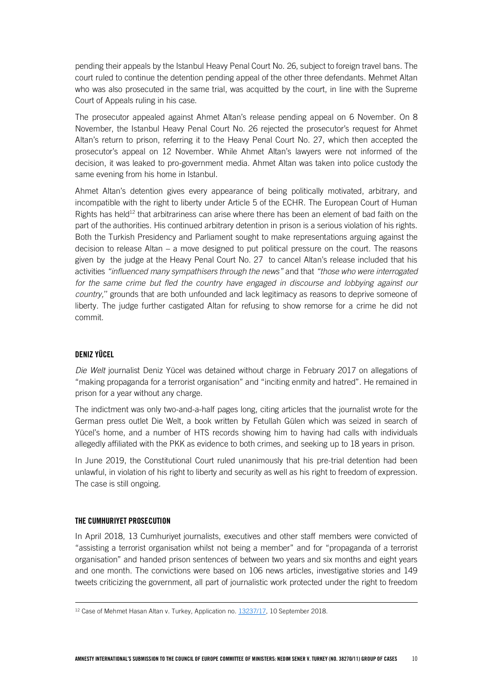pending their appeals by the Istanbul Heavy Penal Court No. 26, subject to foreign travel bans. The court ruled to continue the detention pending appeal of the other three defendants. Mehmet Altan who was also prosecuted in the same trial, was acquitted by the court, in line with the Supreme Court of Appeals ruling in his case.

The prosecutor appealed against Ahmet Altan's release pending appeal on 6 November. On 8 November, the Istanbul Heavy Penal Court No. 26 rejected the prosecutor's request for Ahmet Altan's return to prison, referring it to the Heavy Penal Court No. 27, which then accepted the prosecutor's appeal on 12 November. While Ahmet Altan's lawyers were not informed of the decision, it was leaked to pro-government media. Ahmet Altan was taken into police custody the same evening from his home in Istanbul.

Ahmet Altan's detention gives every appearance of being politically motivated, arbitrary, and incompatible with the right to liberty under Article 5 of the ECHR. The European Court of Human Rights has held<sup>12</sup> that arbitrariness can arise where there has been an element of bad faith on the part of the authorities. His continued arbitrary detention in prison is a serious violation of his rights. Both the Turkish Presidency and Parliament sought to make representations arguing against the decision to release Altan – a move designed to put political pressure on the court. The reasons given by the judge at the Heavy Penal Court No. 27 to cancel Altan's release included that his activities *"influenced many sympathisers through the news"* and that *"those who were interrogated*  for the same crime but fled the country have engaged in discourse and lobbying against our *country,*'' grounds that are both unfounded and lack legitimacy as reasons to deprive someone of liberty. The judge further castigated Altan for refusing to show remorse for a crime he did not commit.

#### <span id="page-9-0"></span>DENIZ YÜCEL

*Die Welt* journalist Deniz Yücel was detained without charge in February 2017 on allegations of "making propaganda for a terrorist organisation" and "inciting enmity and hatred". He remained in prison for a year without any charge.

The indictment was only two-and-a-half pages long, citing articles that the journalist wrote for the German press outlet Die Welt, a book written by Fetullah Gülen which was seized in search of Yücel's home, and a number of HTS records showing him to having had calls with individuals allegedly affiliated with the PKK as evidence to both crimes, and seeking up to 18 years in prison.

In June 2019, the Constitutional Court ruled unanimously that his pre-trial detention had been unlawful, in violation of his right to liberty and security as well as his right to freedom of expression. The case is still ongoing.

#### <span id="page-9-1"></span>THE CUMHURIYET PROSECUTION

l,

In April 2018, 13 Cumhuriyet journalists, executives and other staff members were convicted of "assisting a terrorist organisation whilst not being a member" and for "propaganda of a terrorist organisation" and handed prison sentences of between two years and six months and eight years and one month. The convictions were based on 106 news articles, investigative stories and 149 tweets criticizing the government, all part of journalistic work protected under the right to freedom

<sup>12</sup> Case of Mehmet Hasan Altan v. Turkey, Application no. [13237/17,](https://hudoc.echr.coe.int/eng#{%22appno%22:[%2213237/17%22]}) 10 September 2018.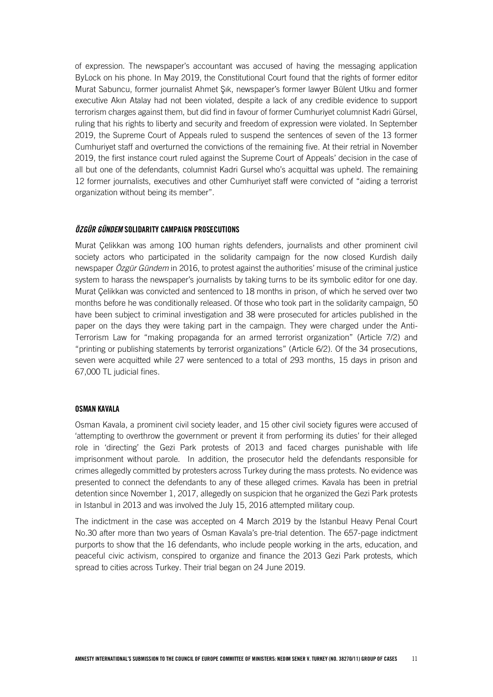of expression. The newspaper's accountant was accused of having the messaging application ByLock on his phone. In May 2019, the Constitutional Court found that the rights of former editor Murat Sabuncu, former journalist Ahmet Şık, newspaper's former lawyer Bülent Utku and former executive Akın Atalay had not been violated, despite a lack of any credible evidence to support terrorism charges against them, but did find in favour of former Cumhuriyet columnist Kadri Gürsel, ruling that his rights to liberty and security and freedom of expression were violated. In September 2019, the Supreme Court of Appeals ruled to suspend the sentences of seven of the 13 former Cumhuriyet staff and overturned the convictions of the remaining five. At their retrial in November 2019, the first instance court ruled against the Supreme Court of Appeals' decision in the case of all but one of the defendants, columnist Kadri Gursel who's acquittal was upheld. The remaining 12 former journalists, executives and other Cumhuriyet staff were convicted of "aiding a terrorist organization without being its member".

#### <span id="page-10-0"></span>*ÖZGÜR GÜNDEM* SOLIDARITY CAMPAIGN PROSECUTIONS

Murat Çelikkan was among 100 human rights defenders, journalists and other prominent civil society actors who participated in the solidarity campaign for the now closed Kurdish daily newspaper *Özgür Gündem* in 2016, to protest against the authorities' misuse of the criminal justice system to harass the newspaper's journalists by taking turns to be its symbolic editor for one day. Murat Çelikkan was convicted and sentenced to 18 months in prison, of which he served over two months before he was conditionally released. Of those who took part in the solidarity campaign, 50 have been subject to criminal investigation and 38 were prosecuted for articles published in the paper on the days they were taking part in the campaign. They were charged under the Anti-Terrorism Law for "making propaganda for an armed terrorist organization" (Article 7/2) and "printing or publishing statements by terrorist organizations" (Article 6/2). Of the 34 prosecutions, seven were acquitted while 27 were sentenced to a total of 293 months, 15 days in prison and 67,000 TL judicial fines.

#### <span id="page-10-1"></span>OSMAN KAVALA

Osman Kavala, a prominent civil society leader, and 15 other civil society figures were accused of 'attempting to overthrow the government or prevent it from performing its duties' for their alleged role in 'directing' the Gezi Park protests of 2013 and faced charges punishable with life imprisonment without parole. In addition, the prosecutor held the defendants responsible for crimes allegedly committed by protesters across Turkey during the mass protests. No evidence was presented to connect the defendants to any of these alleged crimes. Kavala has been in pretrial detention since November 1, 2017, allegedly on suspicion that he organized the Gezi Park protests in Istanbul in 2013 and was involved the July 15, 2016 attempted military coup.

The indictment in the case was accepted on 4 March 2019 by the Istanbul Heavy Penal Court No.30 after more than two years of Osman Kavala's pre-trial detention. The 657-page indictment purports to show that the 16 defendants, who include people working in the arts, education, and peaceful civic activism, conspired to organize and finance the 2013 Gezi Park protests, which spread to cities across Turkey. Their trial began on 24 June 2019.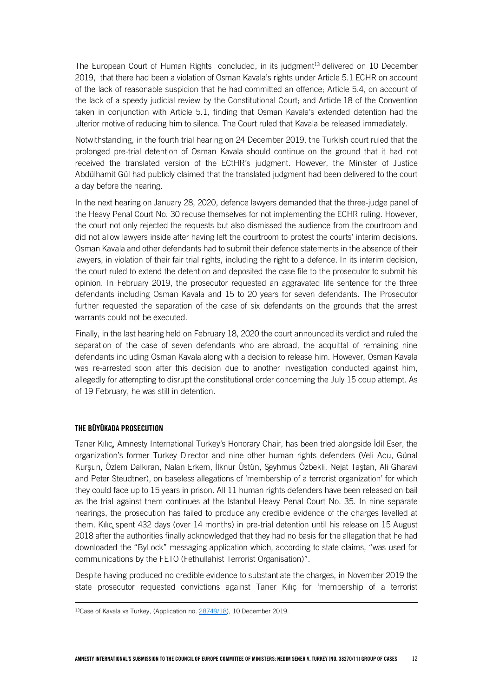The European Court of Human Rights concluded, in its judgment<sup>13</sup> delivered on 10 December 2019, that there had been a violation of Osman Kavala's rights under Article 5.1 ECHR on account of the lack of reasonable suspicion that he had committed an offence; Article 5.4, on account of the lack of a speedy judicial review by the Constitutional Court; and Article 18 of the Convention taken in conjunction with Article 5.1, finding that Osman Kavala's extended detention had the ulterior motive of reducing him to silence. The Court ruled that Kavala be released immediately.

Notwithstanding, in the fourth trial hearing on 24 December 2019, the Turkish court ruled that the prolonged pre-trial detention of Osman Kavala should continue on the ground that it had not received the translated version of the ECtHR's judgment. However, the Minister of Justice Abdülhamit Gül had publicly claimed that the translated judgment had been delivered to the court a day before the hearing.

In the next hearing on January 28, 2020, defence lawyers demanded that the three-judge panel of the Heavy Penal Court No. 30 recuse themselves for not implementing the ECHR ruling. However, the court not only rejected the requests but also dismissed the audience from the courtroom and did not allow lawyers inside after having left the courtroom to protest the courts' interim decisions. Osman Kavala and other defendants had to submit their defence statements in the absence of their lawyers, in violation of their fair trial rights, including the right to a defence. In its interim decision, the court ruled to extend the detention and deposited the case file to the prosecutor to submit his opinion. In February 2019, the prosecutor requested an aggravated life sentence for the three defendants including Osman Kavala and 15 to 20 years for seven defendants. The Prosecutor further requested the separation of the case of six defendants on the grounds that the arrest warrants could not be executed.

Finally, in the last hearing held on February 18, 2020 the court announced its verdict and ruled the separation of the case of seven defendants who are abroad, the acquittal of remaining nine defendants including Osman Kavala along with a decision to release him. However, Osman Kavala was re-arrested soon after this decision due to another investigation conducted against him, allegedly for attempting to disrupt the constitutional order concerning the July 15 coup attempt. As of 19 February, he was still in detention.

#### <span id="page-11-0"></span>THE BÜYÜKADA PROSECUTION

l,

Taner Kılıç, Amnesty International Turkey's Honorary Chair, has been tried alongside İdil Eser, the organization's former Turkey Director and nine other human rights defenders (Veli Acu, Günal Kurşun, Özlem Dalkıran, Nalan Erkem, İlknur Üstün, Şeyhmus Özbekli, Nejat Taştan, Ali Gharavi and Peter Steudtner), on baseless allegations of 'membership of a terrorist organization' for which they could face up to 15 years in prison. All 11 human rights defenders have been released on bail as the trial against them continues at the Istanbul Heavy Penal Court No. 35. In nine separate hearings, the prosecution has failed to produce any credible evidence of the charges levelled at them. Kılıç spent 432 days (over 14 months) in pre-trial detention until his release on 15 August 2018 after the authorities finally acknowledged that they had no basis for the allegation that he had downloaded the "ByLock" messaging application which, according to state claims, "was used for communications by the FETO (Fethullahist Terrorist Organisation)".

Despite having produced no credible evidence to substantiate the charges, in November 2019 the state prosecutor requested convictions against Taner Kılıç for 'membership of a terrorist

<sup>13</sup>Case of Kavala vs Turkey, (Application no[. 28749/18\)](https://hudoc.echr.coe.int/eng#{"appno":["28749/18"]}), 10 December 2019.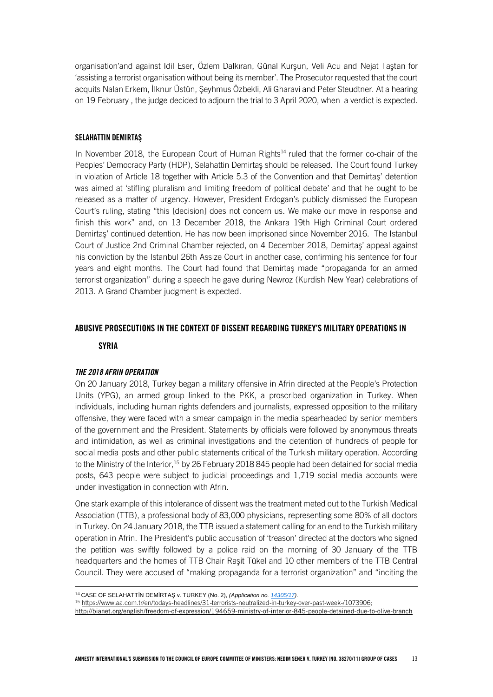organisation'and against Idil Eser, Özlem Dalkıran, Günal Kurşun, Veli Acu and Nejat Taştan for 'assisting a terrorist organisation without being its member'. The Prosecutor requested that the court acquits Nalan Erkem, İlknur Üstün, Şeyhmus Özbekli, Ali Gharavi and Peter Steudtner. At a hearing on 19 February , the judge decided to adjourn the trial to 3 April 2020, when a verdict is expected.

#### <span id="page-12-0"></span>SELAHATTIN DEMIRTAŞ

In November 2018, the European Court of Human Rights<sup>14</sup> ruled that the former co-chair of the Peoples' Democracy Party (HDP), Selahattin Demirtaş should be released. The Court found Turkey in violation of Article 18 together with Article 5.3 of the Convention and that Demirtaş' detention was aimed at 'stifling pluralism and limiting freedom of political debate' and that he ought to be released as a matter of urgency. However, President Erdogan's publicly dismissed the European Court's ruling, stating "this [decision] does not concern us. We make our move in response and finish this work" and, on 13 December 2018, the Ankara 19th High Criminal Court ordered Demirtaş' continued detention. He has now been imprisoned since November 2016. The Istanbul Court of Justice 2nd Criminal Chamber rejected, on 4 December 2018, Demirtaş' appeal against his conviction by the Istanbul 26th Assize Court in another case, confirming his sentence for four years and eight months. The Court had found that Demirtaş made "propaganda for an armed terrorist organization" during a speech he gave during Newroz (Kurdish New Year) celebrations of 2013. A Grand Chamber judgment is expected.

#### <span id="page-12-1"></span>ABUSIVE PROSECUTIONS IN THE CONTEXT OF DISSENT REGARDING TURKEY'S MILITARY OPERATIONS IN

**SYRIA** 

l,

#### *THE 2018 AFRIN OPERATION*

On 20 January 2018, Turkey began a military offensive in Afrin directed at the People's Protection Units (YPG), an armed group linked to the PKK, a proscribed organization in Turkey. When individuals, including human rights defenders and journalists, expressed opposition to the military offensive, they were faced with a smear campaign in the media spearheaded by senior members of the government and the President. Statements by officials were followed by anonymous threats and intimidation, as well as criminal investigations and the detention of hundreds of people for social media posts and other public statements critical of the Turkish military operation. According to the Ministry of the Interior,<sup>15</sup> by 26 February 2018 845 people had been detained for social media posts, 643 people were subject to judicial proceedings and 1,719 social media accounts were under investigation in connection with Afrin.

One stark example of this intolerance of dissent was the treatment meted out to the Turkish Medical Association (TTB), a professional body of 83,000 physicians, representing some 80% of all doctors in Turkey. On 24 January 2018, the TTB issued a statement calling for an end to the Turkish military operation in Afrin. The President's public accusation of 'treason' directed at the doctors who signed the petition was swiftly followed by a police raid on the morning of 30 January of the TTB headquarters and the homes of TTB Chair Raşit Tükel and 10 other members of the TTB Central Council. They were accused of "making propaganda for a terrorist organization" and "inciting the

<sup>14</sup> CASE OF SELAHATTİN DEMİRTAŞ v. TURKEY (No. 2), *(Application no. [14305/17\)](https://hudoc.echr.coe.int/eng#{%22appno%22:[%2214305/17%22]}).*

<sup>15</sup> [https://www.aa.com.tr/en/todays-headlines/31-terrorists-neutralized-in-turkey-over-past-week-/1073906;](https://www.aa.com.tr/en/todays-headlines/31-terrorists-neutralized-in-turkey-over-past-week-/1073906) 

<http://bianet.org/english/freedom-of-expression/194659-ministry-of-interior-845-people-detained-due-to-olive-branch>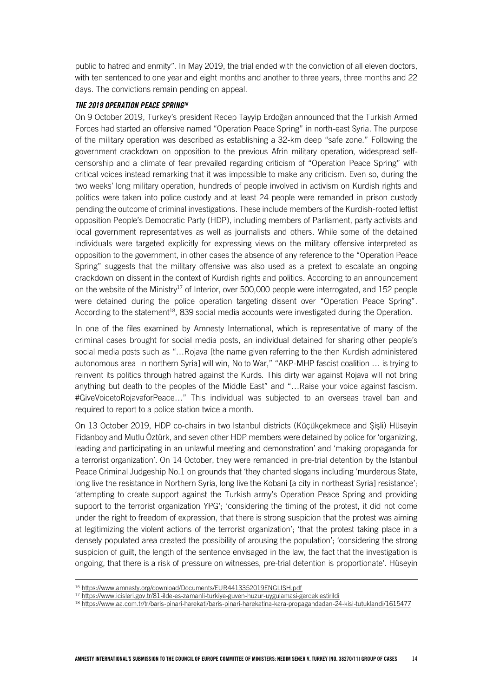public to hatred and enmity". In May 2019, the trial ended with the conviction of all eleven doctors, with ten sentenced to one year and eight months and another to three years, three months and 22 days. The convictions remain pending on appeal.

#### *THE 2019 OPERATION PEACE SPRING<sup>16</sup>*

On 9 October 2019, Turkey's president Recep Tayyip Erdoğan announced that the Turkish Armed Forces had started an offensive named "Operation Peace Spring" in north-east Syria. The purpose of the military operation was described as establishing a 32-km deep "safe zone." Following the government crackdown on opposition to the previous Afrin military operation, widespread selfcensorship and a climate of fear prevailed regarding criticism of "Operation Peace Spring" with critical voices instead remarking that it was impossible to make any criticism. Even so, during the two weeks' long military operation, hundreds of people involved in activism on Kurdish rights and politics were taken into police custody and at least 24 people were remanded in prison custody pending the outcome of criminal investigations. These include members of the Kurdish-rooted leftist opposition People's Democratic Party (HDP), including members of Parliament, party activists and local government representatives as well as journalists and others. While some of the detained individuals were targeted explicitly for expressing views on the military offensive interpreted as opposition to the government, in other cases the absence of any reference to the "Operation Peace Spring" suggests that the military offensive was also used as a pretext to escalate an ongoing crackdown on dissent in the context of Kurdish rights and politics. According to an announcement on the website of the Ministry<sup>17</sup> of Interior, over 500,000 people were interrogated, and 152 people were detained during the police operation targeting dissent over "Operation Peace Spring". According to the statement<sup>18</sup>, 839 social media accounts were investigated during the Operation.

In one of the files examined by Amnesty International, which is representative of many of the criminal cases brought for social media posts, an individual detained for sharing other people's social media posts such as "…Rojava [the name given referring to the then Kurdish administered autonomous area in northern Syria] will win, No to War," "AKP-MHP fascist coalition … is trying to reinvent its politics through hatred against the Kurds. This dirty war against Rojava will not bring anything but death to the peoples of the Middle East" and "…Raise your voice against fascism. #GiveVoicetoRojavaforPeace…" This individual was subjected to an overseas travel ban and required to report to a police station twice a month.

On 13 October 2019, HDP co-chairs in two Istanbul districts (Küçükçekmece and Şişli) Hüseyin Fidanboy and Mutlu Öztürk, and seven other HDP members were detained by police for 'organizing, leading and participating in an unlawful meeting and demonstration' and 'making propaganda for a terrorist organization'. On 14 October, they were remanded in pre-trial detention by the Istanbul Peace Criminal Judgeship No.1 on grounds that 'they chanted slogans including 'murderous State, long live the resistance in Northern Syria, long live the Kobani [a city in northeast Syria] resistance'; 'attempting to create support against the Turkish army's Operation Peace Spring and providing support to the terrorist organization YPG'; 'considering the timing of the protest, it did not come under the right to freedom of expression, that there is strong suspicion that the protest was aiming at legitimizing the violent actions of the terrorist organization'; 'that the protest taking place in a densely populated area created the possibility of arousing the population'; 'considering the strong suspicion of guilt, the length of the sentence envisaged in the law, the fact that the investigation is ongoing, that there is a risk of pressure on witnesses, pre-trial detention is proportionate'. Hüseyin

ł

<sup>17</sup> <https://www.icisleri.gov.tr/81-ilde-es-zamanli-turkiye-guven-huzur-uygulamasi-gerceklestirildi>

<sup>&</sup>lt;sup>16</sup> <https://www.amnesty.org/download/Documents/EUR4413352019ENGLISH.pdf>

<sup>18</sup> <https://www.aa.com.tr/tr/baris-pinari-harekati/baris-pinari-harekatina-kara-propagandadan-24-kisi-tutuklandi/1615477>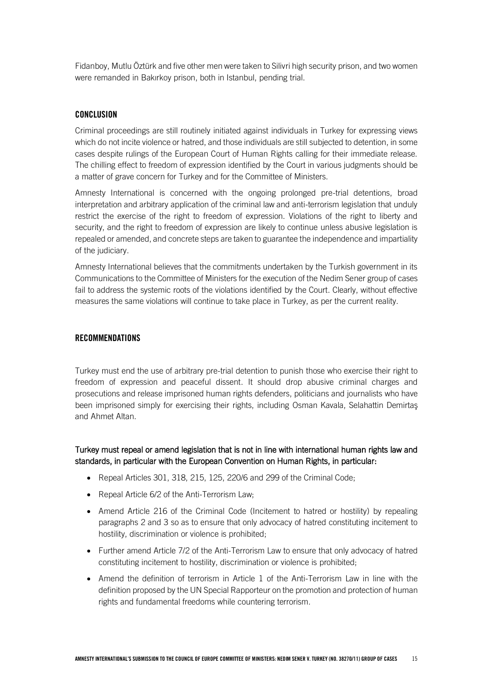Fidanboy, Mutlu Öztürk and five other men were taken to Silivri high security prison, and two women were remanded in Bakırkoy prison, both in Istanbul, pending trial.

#### <span id="page-14-0"></span>CONCLUSION

Criminal proceedings are still routinely initiated against individuals in Turkey for expressing views which do not incite violence or hatred, and those individuals are still subjected to detention, in some cases despite rulings of the European Court of Human Rights calling for their immediate release. The chilling effect to freedom of expression identified by the Court in various judgments should be a matter of grave concern for Turkey and for the Committee of Ministers.

Amnesty International is concerned with the ongoing prolonged pre-trial detentions, broad interpretation and arbitrary application of the criminal law and anti-terrorism legislation that unduly restrict the exercise of the right to freedom of expression. Violations of the right to liberty and security, and the right to freedom of expression are likely to continue unless abusive legislation is repealed or amended, and concrete steps are taken to guarantee the independence and impartiality of the judiciary.

Amnesty International believes that the commitments undertaken by the Turkish government in its Communications to the Committee of Ministers for the execution of the Nedim Sener group of cases fail to address the systemic roots of the violations identified by the Court. Clearly, without effective measures the same violations will continue to take place in Turkey, as per the current reality.

#### <span id="page-14-1"></span>RECOMMENDATIONS

Turkey must end the use of arbitrary pre-trial detention to punish those who exercise their right to freedom of expression and peaceful dissent. It should drop abusive criminal charges and prosecutions and release imprisoned human rights defenders, politicians and journalists who have been imprisoned simply for exercising their rights, including Osman Kavala, Selahattin Demirtaş and Ahmet Altan.

#### Turkey must repeal or amend legislation that is not in line with international human rights law and standards, in particular with the European Convention on Human Rights, in particular:

- Repeal Articles 301, 318, 215, 125, 220/6 and 299 of the Criminal Code:
- Repeal Article 6/2 of the Anti-Terrorism Law;
- Amend Article 216 of the Criminal Code (Incitement to hatred or hostility) by repealing paragraphs 2 and 3 so as to ensure that only advocacy of hatred constituting incitement to hostility, discrimination or violence is prohibited;
- Further amend Article 7/2 of the Anti-Terrorism Law to ensure that only advocacy of hatred constituting incitement to hostility, discrimination or violence is prohibited;
- Amend the definition of terrorism in Article 1 of the Anti-Terrorism Law in line with the definition proposed by the UN Special Rapporteur on the promotion and protection of human rights and fundamental freedoms while countering terrorism.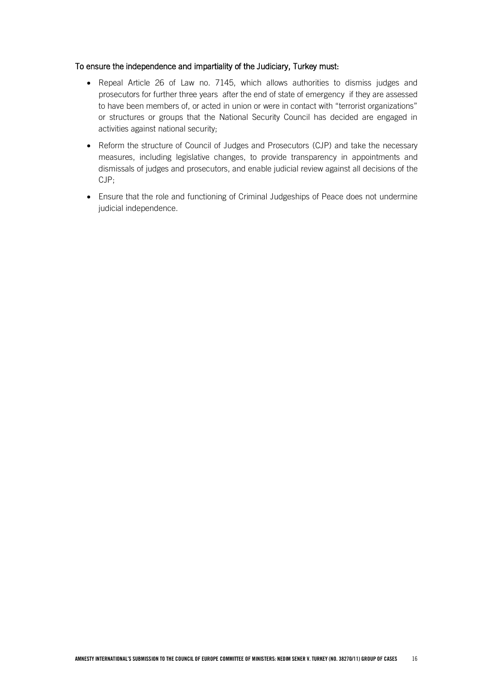#### To ensure the independence and impartiality of the Judiciary, Turkey must:

- Repeal Article 26 of Law no. 7145, which allows authorities to dismiss judges and prosecutors for further three years after the end of state of emergency if they are assessed to have been members of, or acted in union or were in contact with "terrorist organizations" or structures or groups that the National Security Council has decided are engaged in activities against national security;
- Reform the structure of Council of Judges and Prosecutors (CJP) and take the necessary measures, including legislative changes, to provide transparency in appointments and dismissals of judges and prosecutors, and enable judicial review against all decisions of the CJP;
- Ensure that the role and functioning of Criminal Judgeships of Peace does not undermine judicial independence.